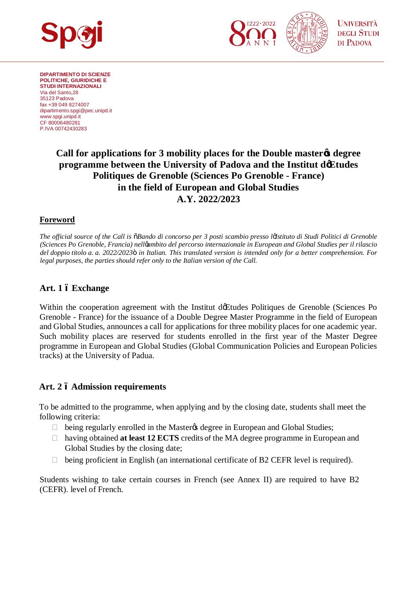



**DIPARTIMENTO DI SCIENZE POLITICHE, GIURIDICHE E STUDI INTERNAZIONALI** Via del Santo,28 35123 Padova fax +39 049 8274007 [dipartimento.spgi@pec.unipd.it](mailto:dipartimento.spgi@pec.unipd.it) www.spgi.unipd.it CF 80006480281 P.IVA 00742430283

# **Call for applications for 3 mobility places for the Double master's degree programme between the University of Padova and the Institut d'Etudes Politiques de Grenoble (Sciences Po Grenoble - France) in the field of European and Global Studies A.Y. 2022/2023**

### **Foreword**

*The official source of the Call is "Bando di concorso per 3 posti scambio presso l'Istituto di Studi Politici di Grenoble (Sciences Po Grenoble, Francia) nell'ambito del percorso internazionale in European and Global Studies per il rilascio del doppio titolo a. a. 2022/2023" in Italian. This translated version is intended only for a better comprehension. For legal purposes, the parties should refer only to the Italian version of the Call.*

### **Art. 1 – Exchange**

Within the cooperation agreement with the Institut de Etudes Politiques de Grenoble (Sciences Po Grenoble - France) for the issuance of a Double Degree Master Programme in the field of European and Global Studies, announces a call for applications for three mobility places for one academic year. Such mobility places are reserved for students enrolled in the first year of the Master Degree programme in European and Global Studies (Global Communication Policies and European Policies tracks) at the University of Padua.

### **Art. 2 – Admission requirements**

To be admitted to the programme, when applying and by the closing date, students shall meet the following criteria:

being regularly enrolled in the Master $\alpha$  degree in European and Global Studies;

 having obtained **at least 12 ECTS** credits of the MA degree programme in European and Global Studies by the closing date;

being proficient in English (an international certificate of B2 CEFR level is required).

Students wishing to take certain courses in French (see Annex II) are required to have B2 (CEFR). level of French.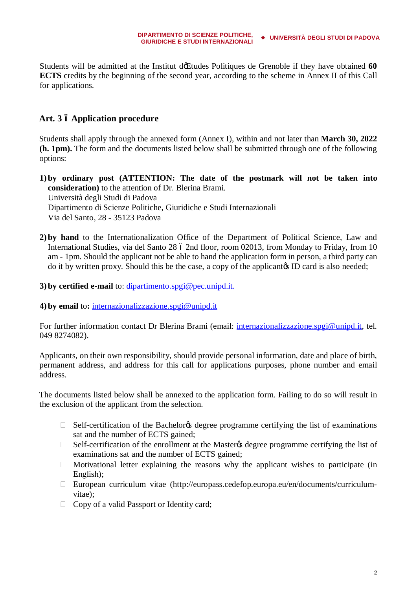Students will be admitted at the Institut de Etudes Politiques de Grenoble if they have obtained 60 **ECTS** credits by the beginning of the second year, according to the scheme in Annex II of this Call for applications.

## **Art. 3 – Application procedure**

Students shall apply through the annexed form (Annex I), within and not later than **March 30, 2022 (h. 1pm).** The form and the documents listed below shall be submitted through one of the following options:

- **1) by ordinary post (ATTENTION: The date of the postmark will not be taken into consideration)** to the attention of Dr. Blerina Brami. Università degli Studi di Padova Dipartimento di Scienze Politiche, Giuridiche e Studi Internazionali Via del Santo, 28 - 35123 Padova
- **2) by hand** to the Internationalization Office of the Department of Political Science, Law and International Studies, via del Santo 28 ó 2nd floor, room 02013, from Monday to Friday, from 10 am - 1pm. Should the applicant not be able to hand the application form in person, a third party can do it by written proxy. Should this be the case, a copy of the applicant is ID card is also needed;

### **3) by certified e-mail** to: [dipartimento.spgi@pec.unipd.it.](mailto:dipartimento.spgi@pec.unipd.it)

**4) by email** to**:** [internazionalizzazione.spgi@unipd.it](mailto:internazionalizzazione.spgi@unipd.it)

For further information contact Dr Blerina Brami (email: [internazionalizzazione.spgi@unipd.it,](mailto:internazionalizzazione.spgi@unipd.it) tel. 049 8274082).

Applicants, on their own responsibility, should provide personal information, date and place of birth, permanent address, and address for this call for applications purposes, phone number and email address.

The documents listed below shall be annexed to the application form. Failing to do so will result in the exclusion of the applicant from the selection.

Self-certification of the Bachelor ts degree programme certifying the list of examinations sat and the number of ECTS gained;

Self-certification of the enrollment at the Master & degree programme certifying the list of examinations sat and the number of ECTS gained;

 Motivational letter explaining the reasons why the applicant wishes to participate (in English);

 European curriculum vitae ([http://europass.cedefop.europa.eu/en/documents/curriculum](http://europass.cedefop.europa.eu/en/documents/curriculum-vitae)[vitae\)](http://europass.cedefop.europa.eu/en/documents/curriculum-vitae);

Copy of a valid Passport or Identity card;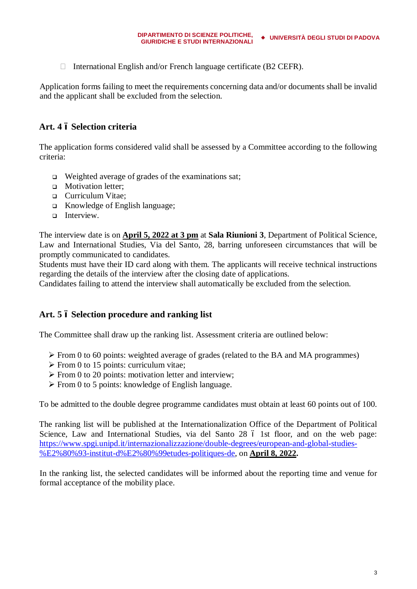International English and/or French language certificate (B2 CEFR).

Application forms failing to meet the requirements concerning data and/or documents shall be invalid and the applicant shall be excluded from the selection.

## **Art. 4 – Selection criteria**

The application forms considered valid shall be assessed by a Committee according to the following criteria:

- $\Box$  Weighted average of grades of the examinations sat;
- **q** Motivation letter:
- <sup>q</sup> Curriculum Vitae;
- <sup>q</sup> Knowledge of English language;
- **q** Interview.

The interview date is on **April 5, 2022 at 3 pm** at **Sala Riunioni 3**, Department of Political Science, Law and International Studies, Via del Santo, 28, barring unforeseen circumstances that will be promptly communicated to candidates.

Students must have their ID card along with them. The applicants will receive technical instructions regarding the details of the interview after the closing date of applications.

Candidates failing to attend the interview shall automatically be excluded from the selection.

## **Art. 5 – Selection procedure and ranking list**

The Committee shall draw up the ranking list. Assessment criteria are outlined below:

- $\triangleright$  From 0 to 60 points: weighted average of grades (related to the BA and MA programmes)
- $\triangleright$  From 0 to 15 points: curriculum vitae;
- $\triangleright$  From 0 to 20 points: motivation letter and interview;
- $\triangleright$  From 0 to 5 points: knowledge of English language.

To be admitted to the double degree programme candidates must obtain at least 60 points out of 100.

The ranking list will be published at the Internationalization Office of the Department of Political Science, Law and International Studies, via del Santo 28 ó 1st floor, and on the web page: https://www.spgi.unipd.it/internazionalizzazione/double-degrees/european-and-global-studies- %E2%80%93-institut-d%E2%80%99etudes-politiques-de, on **April 8, 2022.**

In the ranking list, the selected candidates will be informed about the reporting time and venue for formal acceptance of the mobility place.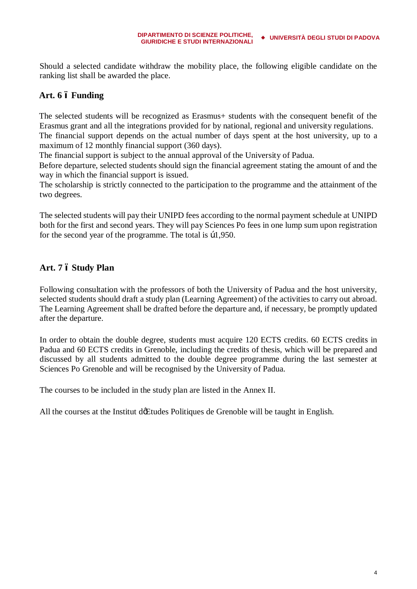Should a selected candidate withdraw the mobility place, the following eligible candidate on the ranking list shall be awarded the place.

## **Art. 6 – Funding**

The selected students will be recognized as Erasmus+ students with the consequent benefit of the Erasmus grant and all the integrations provided for by national, regional and university regulations.

The financial support depends on the actual number of days spent at the host university, up to a maximum of 12 monthly financial support (360 days).

The financial support is subject to the annual approval of the University of Padua.

Before departure, selected students should sign the financial agreement stating the amount of and the way in which the financial support is issued.

The scholarship is strictly connected to the participation to the programme and the attainment of the two degrees.

The selected students will pay their UNIPD fees according to the normal payment schedule at UNIPD both for the first and second years. They will pay Sciences Po fees in one lump sum upon registration for the second year of the programme. The total is  $b1,950$ .

## **Art. 7 – Study Plan**

Following consultation with the professors of both the University of Padua and the host university, selected students should draft a study plan (Learning Agreement) of the activities to carry out abroad. The Learning Agreement shall be drafted before the departure and, if necessary, be promptly updated after the departure.

In order to obtain the double degree, students must acquire 120 ECTS credits. 60 ECTS credits in Padua and 60 ECTS credits in Grenoble, including the credits of thesis, which will be prepared and discussed by all students admitted to the double degree programme during the last semester at Sciences Po Grenoble and will be recognised by the University of Padua.

The courses to be included in the study plan are listed in the Annex II.

All the courses at the Institut de Etudes Politiques de Grenoble will be taught in English.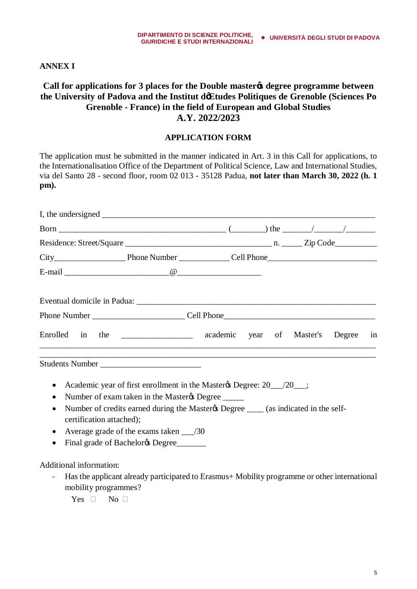#### **DIPARTIMENTO DI SCIENZE POLITICHE, GIURIDICHE E STUDI INTERNAZIONALI UNIVERSITÀ DEGLI STUDI DI PADOVA**

### **ANNEX I**

## **Call for applications for 3 places for the Double master's degree programme between the University of Padova and the Institut d'Etudes Politiques de Grenoble (Sciences Po Grenoble - France) in the field of European and Global Studies A.Y. 2022/2023**

### **APPLICATION FORM**

The application must be submitted in the manner indicated in Art. 3 in this Call for applications, to the Internationalisation Office of the Department of Political Science, Law and International Studies, via del Santo 28 - second floor, room 02 013 - 35128 Padua, **not later than March 30, 2022 (h. 1 pm).**

| Enrolled in the _______________ academic year of Master's Degree in |  |  |  |  |
|---------------------------------------------------------------------|--|--|--|--|
|                                                                     |  |  |  |  |

- Academic year of first enrollment in the Master & Degree: 20 \_\_\_/20 \_\_\_;
- Number of exam taken in the Master & Degree \_\_\_\_\_\_
- Number of credits earned during the Master & Degree  $\_\_\_\$ (as indicated in the selfcertification attached);
- Average grade of the exams taken  $\frac{1}{30}$
- Final grade of Bachelor & Degree

Additional information:

- Has the applicant already participated to Erasmus+ Mobility programme or other international mobility programmes?
	- Yes No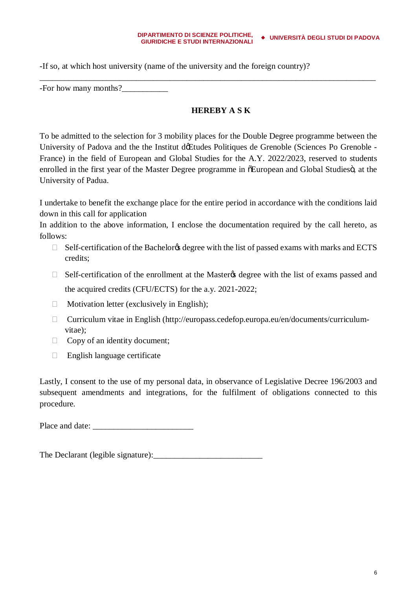#### **DIPARTIMENTO DI SCIENZE POLITICHE, GIURIDICHE E STUDI INTERNAZIONALI UNIVERSITÀ DEGLI STUDI DI PADOVA**

-If so, at which host university (name of the university and the foreign country)?

-For how many months?

## **HEREBY A S K**

To be admitted to the selection for 3 mobility places for the Double Degree programme between the University of Padova and the the Institut de Etudes Politiques de Grenoble (Sciences Po Grenoble -France) in the field of European and Global Studies for the A.Y. 2022/2023, reserved to students enrolled in the first year of the Master Degree programme in  $\delta$ European and Global Studies $\ddot{\text{o}}$ , at the University of Padua.

\_\_\_\_\_\_\_\_\_\_\_\_\_\_\_\_\_\_\_\_\_\_\_\_\_\_\_\_\_\_\_\_\_\_\_\_\_\_\_\_\_\_\_\_\_\_\_\_\_\_\_\_\_\_\_\_\_\_\_\_\_\_\_\_\_\_\_\_\_\_\_\_\_\_\_\_\_\_\_\_

I undertake to benefit the exchange place for the entire period in accordance with the conditions laid down in this call for application

In addition to the above information, I enclose the documentation required by the call hereto, as follows:

Self-certification of the Bachelor & degree with the list of passed exams with marks and ECTS credits;

Self-certification of the enrollment at the Master the degree with the list of exams passed and

the acquired credits (CFU/ECTS) for the a.y. 2021-2022;

Motivation letter (exclusively in English);

 Curriculum vitae in English (http://europass.cedefop.europa.eu/en/documents/curriculumvitae);

Copy of an identity document;

English language certificate

Lastly, I consent to the use of my personal data, in observance of Legislative Decree 196/2003 and subsequent amendments and integrations, for the fulfilment of obligations connected to this procedure.

Place and date:

The Declarant (legible signature):